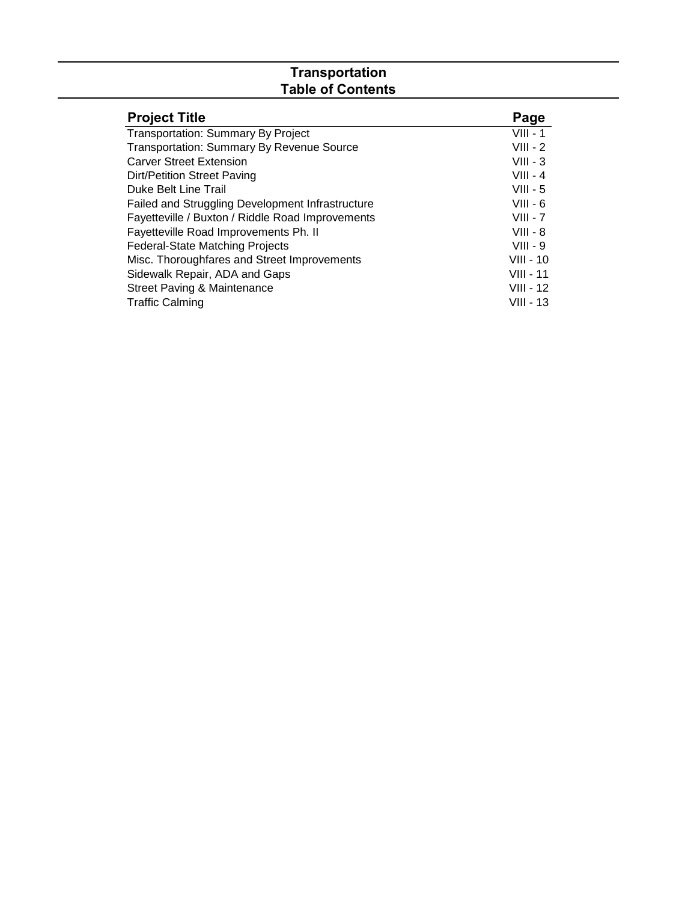#### **Transportation Table of Contents**

| <b>Project Title</b>                             | Page        |
|--------------------------------------------------|-------------|
| <b>Transportation: Summary By Project</b>        | $VIII - 1$  |
| Transportation: Summary By Revenue Source        | $VIII - 2$  |
| <b>Carver Street Extension</b>                   | $VIII - 3$  |
| Dirt/Petition Street Paving                      | $VIII - 4$  |
| Duke Belt Line Trail                             | $VIII - 5$  |
| Failed and Struggling Development Infrastructure | $VIII - 6$  |
| Fayetteville / Buxton / Riddle Road Improvements | $VIII - 7$  |
| Fayetteville Road Improvements Ph. II            | $VIII - 8$  |
| <b>Federal-State Matching Projects</b>           | $VIII - 9$  |
| Misc. Thoroughfares and Street Improvements      | $VIII - 10$ |
| Sidewalk Repair, ADA and Gaps                    | $VIII - 11$ |
| Street Paving & Maintenance                      | $VIII - 12$ |
| <b>Traffic Calming</b>                           | $VIII - 13$ |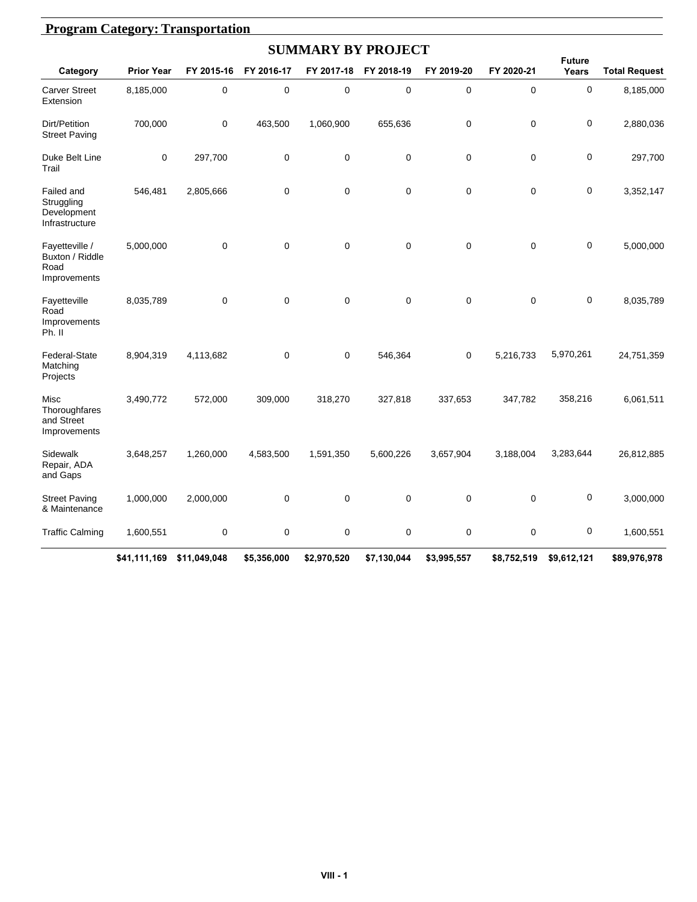|                                                           | <b>Program Category: Transportation</b> |              |             |                           |             |             |             |                        |                      |  |  |  |  |
|-----------------------------------------------------------|-----------------------------------------|--------------|-------------|---------------------------|-------------|-------------|-------------|------------------------|----------------------|--|--|--|--|
|                                                           |                                         |              |             | <b>SUMMARY BY PROJECT</b> |             |             |             |                        |                      |  |  |  |  |
| Category                                                  | <b>Prior Year</b>                       | FY 2015-16   | FY 2016-17  | FY 2017-18                | FY 2018-19  | FY 2019-20  | FY 2020-21  | <b>Future</b><br>Years | <b>Total Request</b> |  |  |  |  |
| <b>Carver Street</b><br>Extension                         | 8,185,000                               | $\mathbf 0$  | 0           | $\overline{0}$            | 0           | 0           | 0           | $\mathbf 0$            | 8,185,000            |  |  |  |  |
| Dirt/Petition<br><b>Street Paving</b>                     | 700,000                                 | 0            | 463,500     | 1,060,900                 | 655,636     | 0           | 0           | $\mathbf 0$            | 2,880,036            |  |  |  |  |
| Duke Belt Line<br>Trail                                   | $\mathbf 0$                             | 297,700      | $\pmb{0}$   | 0                         | $\mathbf 0$ | 0           | 0           | $\mathbf 0$            | 297,700              |  |  |  |  |
| Failed and<br>Struggling<br>Development<br>Infrastructure | 546,481                                 | 2,805,666    | 0           | 0                         | $\mathbf 0$ | 0           | 0           | 0                      | 3,352,147            |  |  |  |  |
| Fayetteville /<br>Buxton / Riddle<br>Road<br>Improvements | 5,000,000                               | 0            | 0           | 0                         | $\mathbf 0$ | 0           | $\mathbf 0$ | $\mathbf 0$            | 5,000,000            |  |  |  |  |
| Fayetteville<br>Road<br>Improvements<br>Ph. II            | 8,035,789                               | 0            | 0           | $\mathbf 0$               | $\mathbf 0$ | 0           | $\mathbf 0$ | 0                      | 8,035,789            |  |  |  |  |
| Federal-State<br>Matching<br>Projects                     | 8,904,319                               | 4,113,682    | 0           | 0                         | 546,364     | 0           | 5,216,733   | 5,970,261              | 24,751,359           |  |  |  |  |
| Misc<br>Thoroughfares<br>and Street<br>Improvements       | 3,490,772                               | 572,000      | 309,000     | 318,270                   | 327,818     | 337,653     | 347,782     | 358,216                | 6,061,511            |  |  |  |  |
| Sidewalk<br>Repair, ADA<br>and Gaps                       | 3,648,257                               | 1,260,000    | 4,583,500   | 1,591,350                 | 5,600,226   | 3,657,904   | 3,188,004   | 3,283,644              | 26,812,885           |  |  |  |  |
| <b>Street Paving</b><br>& Maintenance                     | 1,000,000                               | 2,000,000    | 0           | $\mathbf 0$               | $\mathbf 0$ | 0           | 0           | $\mathbf 0$            | 3,000,000            |  |  |  |  |
| <b>Traffic Calming</b>                                    | 1,600,551                               | 0            | $\pmb{0}$   | $\mathbf 0$               | $\mathbf 0$ | 0           | 0           | $\mathbf 0$            | 1,600,551            |  |  |  |  |
|                                                           | \$41,111,169                            | \$11,049,048 | \$5,356,000 | \$2,970,520               | \$7,130,044 | \$3,995,557 | \$8,752,519 | \$9,612,121            | \$89,976,978         |  |  |  |  |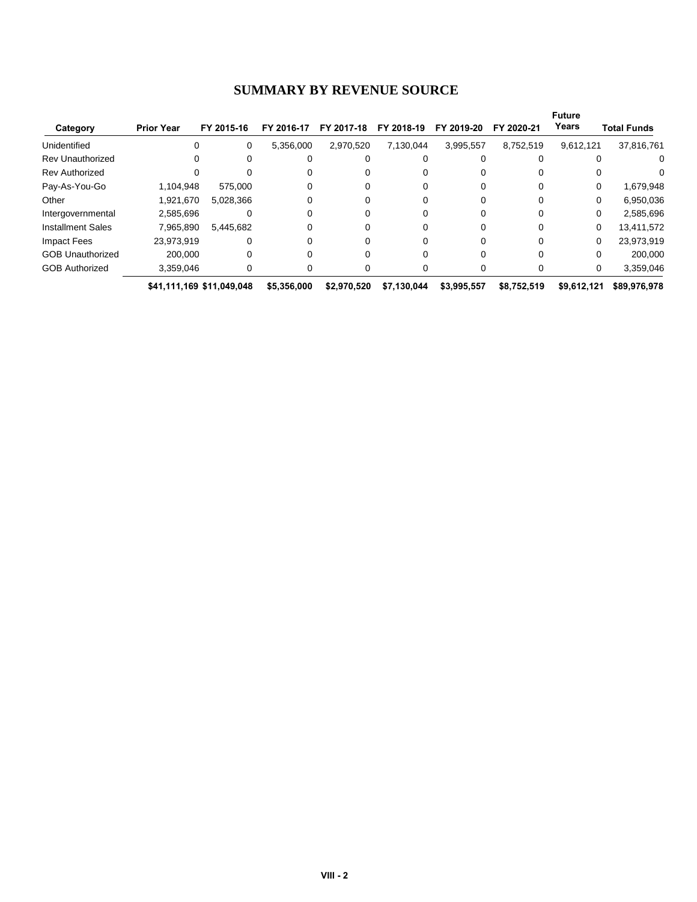# **SUMMARY BY REVENUE SOURCE**

|                          |                           |            |             |             |             |             |             | <b>Future</b> |                    |
|--------------------------|---------------------------|------------|-------------|-------------|-------------|-------------|-------------|---------------|--------------------|
| Category                 | <b>Prior Year</b>         | FY 2015-16 | FY 2016-17  | FY 2017-18  | FY 2018-19  | FY 2019-20  | FY 2020-21  | Years         | <b>Total Funds</b> |
| Unidentified             | 0                         | 0          | 5,356,000   | 2,970,520   | 7.130.044   | 3,995,557   | 8,752,519   | 9,612,121     | 37,816,761         |
| <b>Rev Unauthorized</b>  |                           |            |             |             |             |             |             |               | 0                  |
| <b>Rev Authorized</b>    |                           |            |             |             |             |             |             |               |                    |
| Pay-As-You-Go            | 1,104,948                 | 575,000    |             |             |             |             | $\Omega$    | 0             | 1,679,948          |
| Other                    | 1.921.670                 | 5,028,366  |             | 0           |             |             | $\Omega$    | 0             | 6,950,036          |
| Intergovernmental        | 2,585,696                 |            | 0           | 0           |             |             | 0           | 0             | 2,585,696          |
| <b>Installment Sales</b> | 7,965,890                 | 5,445,682  |             |             |             |             |             | 0             | 13,411,572         |
| <b>Impact Fees</b>       | 23,973,919                |            |             |             |             |             |             | 0             | 23,973,919         |
| <b>GOB Unauthorized</b>  | 200.000                   | 0          | 0           |             |             |             | $\Omega$    | 0             | 200,000            |
| <b>GOB Authorized</b>    | 3,359,046                 |            |             | 0           |             |             | 0           | 0             | 3,359,046          |
|                          | \$41,111,169 \$11,049,048 |            | \$5,356,000 | \$2,970,520 | \$7,130,044 | \$3,995,557 | \$8,752,519 | \$9,612,121   | \$89,976,978       |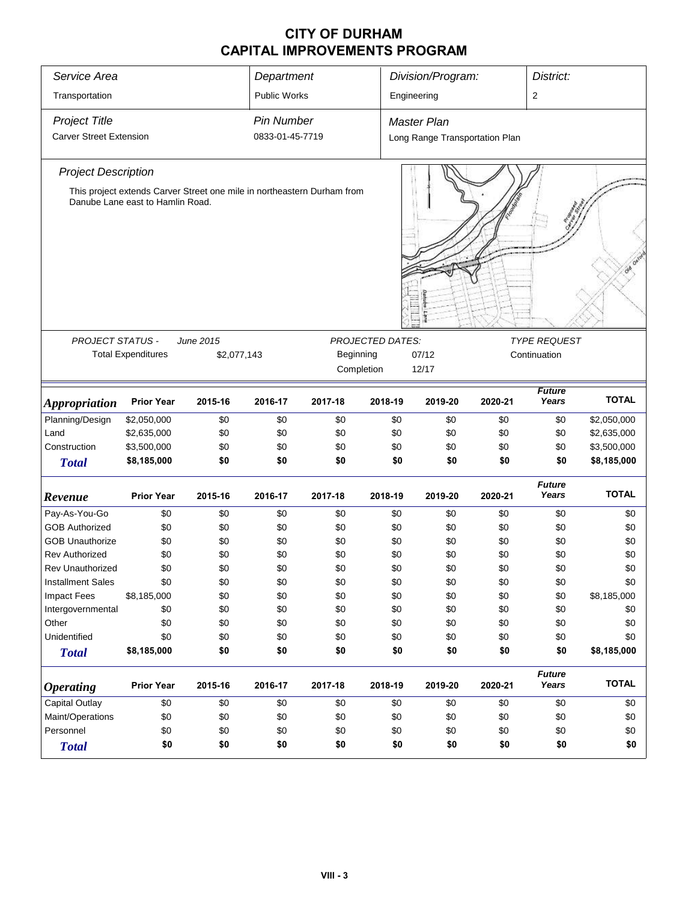| Service Area                                                                                                |                           |             |                                      | Department |                  | Division/Program:                                    |         | District:              |              |  |  |
|-------------------------------------------------------------------------------------------------------------|---------------------------|-------------|--------------------------------------|------------|------------------|------------------------------------------------------|---------|------------------------|--------------|--|--|
| Transportation                                                                                              |                           |             | <b>Public Works</b>                  |            |                  | Engineering                                          |         | $\overline{2}$         |              |  |  |
| <b>Project Title</b><br><b>Carver Street Extension</b>                                                      |                           |             | <b>Pin Number</b><br>0833-01-45-7719 |            |                  | <b>Master Plan</b><br>Long Range Transportation Plan |         |                        |              |  |  |
|                                                                                                             |                           |             |                                      |            |                  |                                                      |         |                        |              |  |  |
| <b>Project Description</b>                                                                                  |                           |             |                                      |            |                  |                                                      |         |                        |              |  |  |
| This project extends Carver Street one mile in northeastern Durham from<br>Danube Lane east to Hamlin Road. |                           |             |                                      |            |                  |                                                      |         |                        |              |  |  |
|                                                                                                             |                           |             |                                      |            |                  |                                                      |         |                        |              |  |  |
| PROJECT STATUS -                                                                                            |                           | June 2015   |                                      |            | PROJECTED DATES: |                                                      |         | <b>TYPE REQUEST</b>    |              |  |  |
|                                                                                                             | <b>Total Expenditures</b> | \$2,077,143 |                                      | Beginning  |                  | 07/12                                                |         | Continuation           |              |  |  |
|                                                                                                             |                           |             |                                      | Completion |                  | 12/17                                                |         |                        |              |  |  |
| <b>Appropriation</b>                                                                                        | <b>Prior Year</b>         | 2015-16     | 2016-17                              | 2017-18    | 2018-19          | 2019-20                                              | 2020-21 | <b>Future</b><br>Years | <b>TOTAL</b> |  |  |
| Planning/Design                                                                                             | \$2,050,000               | \$0         | \$0                                  | \$0        | \$0              | \$0                                                  | \$0     | \$0                    | \$2,050,000  |  |  |
| Land                                                                                                        | \$2,635,000               | \$0         | \$0                                  | \$0        | \$0              | \$0                                                  | \$0     | \$0                    | \$2,635,000  |  |  |
| Construction                                                                                                | \$3,500,000               | \$0         | \$0                                  | \$0        | \$0              | \$0                                                  | \$0     | \$0                    | \$3,500,000  |  |  |
| <b>Total</b>                                                                                                | \$8,185,000               | \$0         | \$0                                  | \$0        | \$0              | \$0                                                  | \$0     | \$0                    | \$8,185,000  |  |  |
|                                                                                                             |                           |             |                                      |            |                  |                                                      |         |                        |              |  |  |
| Revenue                                                                                                     | <b>Prior Year</b>         | 2015-16     | 2016-17                              | 2017-18    | 2018-19          | 2019-20                                              | 2020-21 | <b>Future</b><br>Years | <b>TOTAL</b> |  |  |
| Pay-As-You-Go                                                                                               | \$0                       | \$0         | \$0                                  | \$0        | \$0              | \$0                                                  | \$0     | \$0                    | \$0          |  |  |
| <b>GOB Authorized</b>                                                                                       | \$0                       | \$0         | \$0                                  | \$0        | \$0              | \$0                                                  | \$0     | \$0                    | \$0          |  |  |
| <b>GOB Unauthorize</b>                                                                                      | \$0                       | \$0         | \$0                                  | \$0        | \$0              | \$0                                                  | \$0     | \$0                    | \$0          |  |  |
| <b>Rev Authorized</b>                                                                                       | \$0                       | \$0         | \$0                                  | \$0        | \$0              | \$0                                                  | \$0     | \$0                    | \$0          |  |  |
| Rev Unauthorized                                                                                            | \$0                       | \$0         | \$0                                  | \$0        | \$0              | \$0                                                  | \$0     | \$0                    | \$0          |  |  |
| <b>Installment Sales</b>                                                                                    | \$0                       | \$0         | \$0                                  | \$0        | \$0              | \$0                                                  | \$0     | \$0                    | \$0          |  |  |
| Impact Fees                                                                                                 | \$8,185,000               | \$0         | \$0                                  | \$0        | \$0              | \$0                                                  | \$0     | \$0                    | \$8,185,000  |  |  |
| Intergovernmental                                                                                           | \$0                       | \$0         | \$0                                  | \$0        | \$0              | \$0                                                  | \$0     | \$0                    | \$0          |  |  |
| Other                                                                                                       | \$0                       | \$0         | \$0                                  | \$0        | \$0              | \$0                                                  | \$0     | \$0                    | \$0          |  |  |
| Unidentified                                                                                                | \$0                       | \$0         | \$0                                  | \$0        | \$0              | \$0                                                  | \$0     | \$0                    | \$0          |  |  |
| <b>Total</b>                                                                                                | \$8,185,000               | \$0         | \$0                                  | \$0        | \$0              | \$0                                                  | \$0     | \$0                    | \$8,185,000  |  |  |
| <b>Operating</b>                                                                                            | <b>Prior Year</b>         | 2015-16     | 2016-17                              | 2017-18    | 2018-19          | 2019-20                                              | 2020-21 | <b>Future</b><br>Years | <b>TOTAL</b> |  |  |
| <b>Capital Outlay</b>                                                                                       | \$0                       | \$0         | \$0                                  | \$0        | \$0              | \$0                                                  | \$0     | \$0                    | \$0          |  |  |
| Maint/Operations                                                                                            | \$0                       | \$0         | \$0                                  | \$0        | \$0              | \$0                                                  | \$0     | \$0                    | \$0          |  |  |
| Personnel                                                                                                   | \$0                       | \$0         | \$0                                  | \$0        | \$0              | \$0                                                  | \$0     | \$0                    | \$0          |  |  |
| <b>Total</b>                                                                                                | \$0                       | \$0         | \$0                                  | \$0        | \$0              | \$0                                                  | \$0     | \$0                    | \$0          |  |  |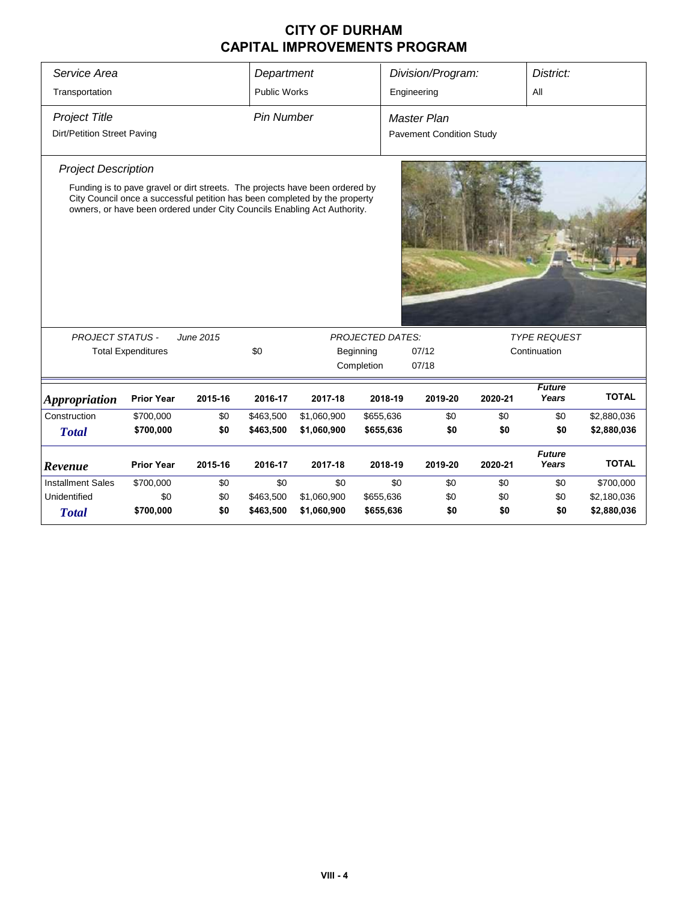| Service Area                                        |                                                                                                                                                                                                                                                                                                                                                   |           | Department          |             |            | Division/Program:                                     |         | District:              |              |  |  |  |
|-----------------------------------------------------|---------------------------------------------------------------------------------------------------------------------------------------------------------------------------------------------------------------------------------------------------------------------------------------------------------------------------------------------------|-----------|---------------------|-------------|------------|-------------------------------------------------------|---------|------------------------|--------------|--|--|--|
| Transportation                                      |                                                                                                                                                                                                                                                                                                                                                   |           | <b>Public Works</b> |             |            | Engineering                                           |         | All                    |              |  |  |  |
| <b>Project Title</b><br>Dirt/Petition Street Paving |                                                                                                                                                                                                                                                                                                                                                   |           | <b>Pin Number</b>   |             |            | <b>Master Plan</b><br><b>Pavement Condition Study</b> |         |                        |              |  |  |  |
|                                                     | <b>Project Description</b><br>Funding is to pave gravel or dirt streets. The projects have been ordered by<br>City Council once a successful petition has been completed by the property<br>owners, or have been ordered under City Councils Enabling Act Authority.<br><b>PROJECT STATUS -</b><br><b>PROJECTED DATES:</b><br><b>TYPE REQUEST</b> |           |                     |             |            |                                                       |         |                        |              |  |  |  |
|                                                     |                                                                                                                                                                                                                                                                                                                                                   | June 2015 |                     |             |            |                                                       |         |                        |              |  |  |  |
|                                                     | <b>Total Expenditures</b>                                                                                                                                                                                                                                                                                                                         |           | \$0                 |             | Beginning  | 07/12                                                 |         | Continuation           |              |  |  |  |
|                                                     |                                                                                                                                                                                                                                                                                                                                                   |           |                     |             | Completion | 07/18                                                 |         |                        |              |  |  |  |
| <i><b>Appropriation</b></i>                         | <b>Prior Year</b>                                                                                                                                                                                                                                                                                                                                 | 2015-16   | 2016-17             | 2017-18     | 2018-19    | 2019-20                                               | 2020-21 | <b>Future</b><br>Years | <b>TOTAL</b> |  |  |  |
| Construction                                        | \$700,000                                                                                                                                                                                                                                                                                                                                         | \$0       | \$463,500           | \$1,060,900 | \$655,636  | \$0                                                   | \$0     | \$0                    | \$2,880,036  |  |  |  |
| <b>Total</b>                                        | \$700,000                                                                                                                                                                                                                                                                                                                                         | \$0       | \$463,500           | \$1,060,900 | \$655,636  | \$0                                                   | \$0     | \$0                    | \$2,880,036  |  |  |  |
| Revenue                                             | <b>Prior Year</b>                                                                                                                                                                                                                                                                                                                                 | 2015-16   | 2016-17             | 2017-18     | 2018-19    | 2019-20                                               | 2020-21 | <b>Future</b><br>Years | <b>TOTAL</b> |  |  |  |
| <b>Installment Sales</b>                            | \$700,000                                                                                                                                                                                                                                                                                                                                         | \$0       | \$0                 | \$0         | \$0        | \$0                                                   | \$0     | \$0                    | \$700,000    |  |  |  |
| Unidentified                                        | \$0                                                                                                                                                                                                                                                                                                                                               | \$0       | \$463,500           | \$1,060,900 | \$655,636  | \$0                                                   | \$0     | \$0                    | \$2,180,036  |  |  |  |
| <b>Total</b>                                        | \$700,000                                                                                                                                                                                                                                                                                                                                         | \$0       | \$463,500           | \$1,060,900 | \$655,636  | \$0                                                   | \$0     | \$0                    | \$2,880,036  |  |  |  |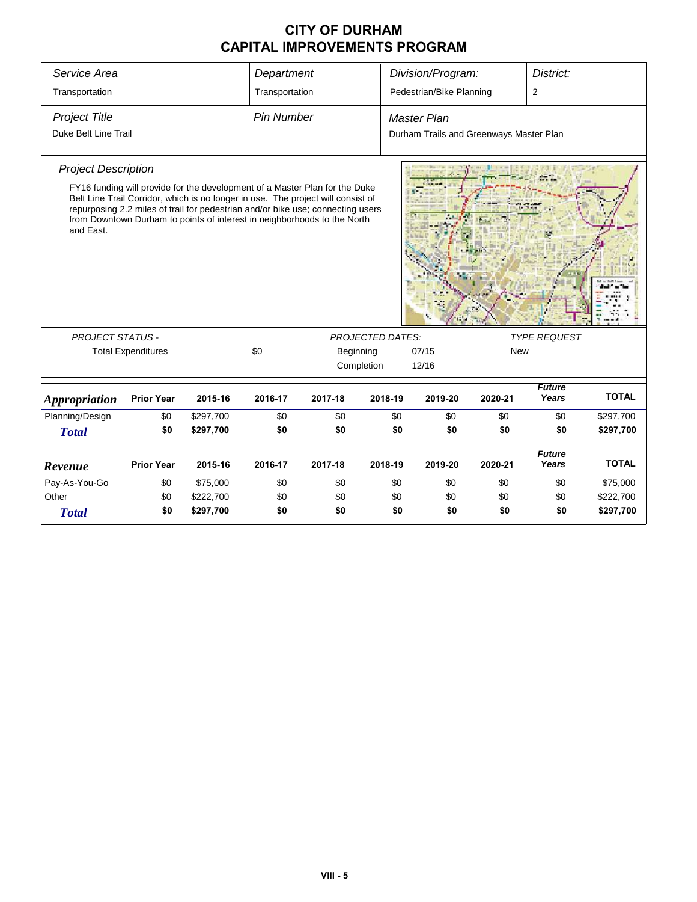| Service Area                                                                                                                                                                                                                                                                                                                                                              |                           |           | Department        |         |                                         | Division/Program:        | District: |                        |              |  |  |  |
|---------------------------------------------------------------------------------------------------------------------------------------------------------------------------------------------------------------------------------------------------------------------------------------------------------------------------------------------------------------------------|---------------------------|-----------|-------------------|---------|-----------------------------------------|--------------------------|-----------|------------------------|--------------|--|--|--|
|                                                                                                                                                                                                                                                                                                                                                                           |                           |           |                   |         |                                         |                          |           |                        |              |  |  |  |
| Transportation                                                                                                                                                                                                                                                                                                                                                            |                           |           | Transportation    |         |                                         | Pedestrian/Bike Planning |           | 2                      |              |  |  |  |
| <b>Project Title</b>                                                                                                                                                                                                                                                                                                                                                      |                           |           | <b>Pin Number</b> |         |                                         | <b>Master Plan</b>       |           |                        |              |  |  |  |
| Duke Belt Line Trail                                                                                                                                                                                                                                                                                                                                                      |                           |           |                   |         | Durham Trails and Greenways Master Plan |                          |           |                        |              |  |  |  |
| <b>Project Description</b><br>FY16 funding will provide for the development of a Master Plan for the Duke<br>Belt Line Trail Corridor, which is no longer in use. The project will consist of<br>repurposing 2.2 miles of trail for pedestrian and/or bike use; connecting users<br>from Downtown Durham to points of interest in neighborhoods to the North<br>and East. |                           |           |                   |         |                                         |                          |           |                        |              |  |  |  |
|                                                                                                                                                                                                                                                                                                                                                                           |                           |           |                   |         |                                         |                          |           |                        |              |  |  |  |
| <b>PROJECT STATUS -</b>                                                                                                                                                                                                                                                                                                                                                   |                           |           |                   |         | <b>PROJECTED DATES:</b>                 |                          |           | <b>TYPE REQUEST</b>    |              |  |  |  |
|                                                                                                                                                                                                                                                                                                                                                                           | <b>Total Expenditures</b> |           | \$0               |         | Beginning                               | 07/15                    |           | <b>New</b>             |              |  |  |  |
|                                                                                                                                                                                                                                                                                                                                                                           |                           |           |                   |         | Completion                              | 12/16                    |           |                        |              |  |  |  |
| <i><b>Appropriation</b></i>                                                                                                                                                                                                                                                                                                                                               | <b>Prior Year</b>         | 2015-16   | 2016-17           | 2017-18 | 2018-19                                 | 2019-20                  | 2020-21   | <b>Future</b><br>Years | <b>TOTAL</b> |  |  |  |
| Planning/Design                                                                                                                                                                                                                                                                                                                                                           | \$0                       | \$297,700 | \$0               | \$0     | \$0                                     | \$0                      | \$0       | \$0                    | \$297,700    |  |  |  |
| <b>Total</b>                                                                                                                                                                                                                                                                                                                                                              | \$0                       | \$297,700 | \$0               | \$0     | \$0                                     | \$0                      | \$0       | \$0                    | \$297,700    |  |  |  |
| Revenue                                                                                                                                                                                                                                                                                                                                                                   | <b>Prior Year</b>         | 2015-16   | 2016-17           | 2017-18 | 2018-19                                 | 2019-20                  | 2020-21   | <b>Future</b><br>Years | <b>TOTAL</b> |  |  |  |
| Pay-As-You-Go                                                                                                                                                                                                                                                                                                                                                             | \$0                       | \$75,000  | \$0               | \$0     | \$0                                     | \$0                      | \$0       | \$0                    | \$75,000     |  |  |  |
| Other                                                                                                                                                                                                                                                                                                                                                                     | \$0                       | \$222,700 | \$0               | \$0     | \$0                                     | \$0                      | \$0       | \$0                    | \$222,700    |  |  |  |
| <b>Total</b>                                                                                                                                                                                                                                                                                                                                                              | \$0                       | \$297,700 | \$0               | \$0     | \$0                                     | \$0                      | \$0       | \$0                    | \$297,700    |  |  |  |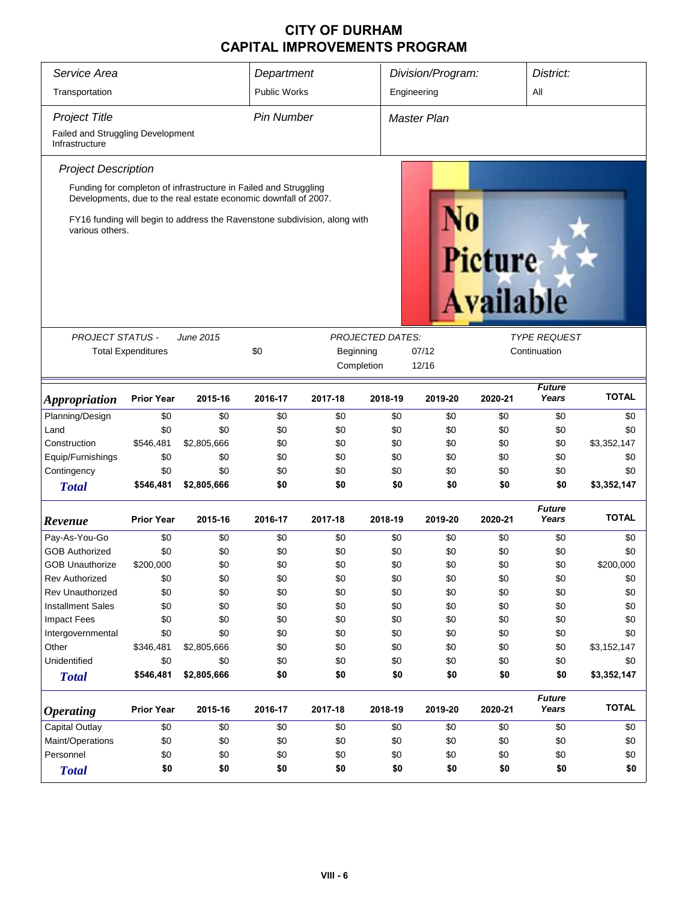| Service Area                                        |                                                      |                                                                                                                                     | Department          |            |                         | Division/Program: |                                    | District:              |              |  |
|-----------------------------------------------------|------------------------------------------------------|-------------------------------------------------------------------------------------------------------------------------------------|---------------------|------------|-------------------------|-------------------|------------------------------------|------------------------|--------------|--|
| Transportation                                      |                                                      |                                                                                                                                     | <b>Public Works</b> |            |                         | Engineering       |                                    | All                    |              |  |
| <b>Project Title</b>                                |                                                      |                                                                                                                                     | <b>Pin Number</b>   |            |                         | Master Plan       |                                    |                        |              |  |
| Failed and Struggling Development<br>Infrastructure |                                                      |                                                                                                                                     |                     |            |                         |                   |                                    |                        |              |  |
| <b>Project Description</b>                          |                                                      |                                                                                                                                     |                     |            |                         |                   |                                    |                        |              |  |
|                                                     |                                                      | Funding for completon of infrastructure in Failed and Struggling<br>Developments, due to the real estate economic downfall of 2007. |                     |            |                         |                   |                                    |                        |              |  |
|                                                     |                                                      | FY16 funding will begin to address the Ravenstone subdivision, along with                                                           |                     |            |                         |                   |                                    |                        |              |  |
| various others.                                     |                                                      |                                                                                                                                     |                     |            |                         |                   | <b>Picture</b><br><b>Available</b> |                        |              |  |
| <b>PROJECT STATUS -</b>                             |                                                      | June 2015                                                                                                                           |                     |            | <b>PROJECTED DATES:</b> |                   |                                    | <b>TYPE REQUEST</b>    |              |  |
|                                                     | <b>Total Expenditures</b>                            |                                                                                                                                     | \$0                 | Beginning  |                         | Continuation      |                                    |                        |              |  |
|                                                     |                                                      |                                                                                                                                     |                     | Completion |                         | 07/12<br>12/16    |                                    |                        |              |  |
|                                                     |                                                      |                                                                                                                                     |                     |            |                         |                   |                                    |                        |              |  |
| <i><b>Appropriation</b></i>                         | <b>Prior Year</b>                                    | 2015-16                                                                                                                             | 2016-17             | 2017-18    | 2018-19                 | 2019-20           | 2020-21                            | <b>Future</b><br>Years | <b>TOTAL</b> |  |
| Planning/Design                                     | \$0                                                  | \$0                                                                                                                                 | \$0                 | \$0        | \$0                     | \$0               | \$0                                | \$0                    | \$0          |  |
| Land                                                | \$0                                                  | \$0                                                                                                                                 | \$0                 | \$0        | \$0                     | \$0               | \$0                                | \$0                    | \$0          |  |
| Construction                                        | \$546,481                                            | \$2,805,666                                                                                                                         | \$0                 | \$0        | \$0                     | \$0               | \$0                                | \$0                    | \$3,352,147  |  |
| Equip/Furnishings                                   | \$0                                                  | \$0                                                                                                                                 | \$0                 | \$0        | \$0                     | \$0               | \$0                                | \$0                    | \$0          |  |
| Contingency                                         | \$0                                                  | \$0                                                                                                                                 | \$0                 | \$0        | \$0                     | \$0               | \$0                                | \$0                    | \$0          |  |
| <b>Total</b>                                        | \$546,481                                            | \$2,805,666                                                                                                                         | \$0                 | \$0        | \$0                     | \$0               | \$0                                | \$0                    | \$3,352,147  |  |
| Revenue                                             | <b>Prior Year</b>                                    | 2015-16                                                                                                                             | 2016-17             | 2017-18    | 2018-19                 | 2019-20           | 2020-21                            | <b>Future</b><br>Years | <b>TOTAL</b> |  |
| Pay-As-You-Go                                       | \$0                                                  | \$0                                                                                                                                 | \$0                 | \$0        | \$0                     | \$0               | \$0                                | \$0                    | \$0          |  |
| <b>GOB Authorized</b>                               | \$0                                                  | \$0                                                                                                                                 | \$0                 | \$0        | \$0                     | \$0               | \$0                                | \$0                    | \$0          |  |
| <b>GOB Unauthorize</b>                              | \$200,000                                            | \$0                                                                                                                                 | \$0                 | \$0        | \$0                     | \$0               | \$0                                | \$0                    | \$200,000    |  |
| <b>Rev Authorized</b>                               | \$0                                                  | \$0                                                                                                                                 | \$0                 | \$0        | \$0                     | \$0               | \$0                                | \$0                    | \$0          |  |
| <b>Rev Unauthorized</b>                             | \$0                                                  | \$0                                                                                                                                 | \$0                 | \$0        | \$0                     | \$0               | \$0                                | \$0                    | \$0          |  |
| <b>Installment Sales</b>                            | \$0                                                  | \$0                                                                                                                                 | \$0                 | \$0        | \$0                     | \$0               | \$0                                | \$0                    | \$0          |  |
| <b>Impact Fees</b>                                  | \$0                                                  | \$0                                                                                                                                 | \$0                 | \$0        | \$0                     | \$0               | \$0                                | \$0                    | \$0          |  |
| Intergovernmental                                   | \$0                                                  | \$0                                                                                                                                 | \$0                 | \$0        | \$0                     | \$0               | \$0                                | \$0                    | \$0          |  |
| Other                                               | \$346,481                                            | \$2,805,666                                                                                                                         | \$0                 | \$0        | \$0                     | \$0               | \$0                                | \$0                    | \$3,152,147  |  |
| Unidentified                                        | \$0                                                  | \$0                                                                                                                                 | \$0                 | \$0        | \$0                     | \$0               | \$0                                | \$0                    | \$0          |  |
| <b>Total</b>                                        | \$546,481                                            | \$2,805,666                                                                                                                         | \$0                 | \$0        | \$0                     | \$0               | \$0                                | \$0                    | \$3,352,147  |  |
| <b>Operating</b>                                    | <b>Prior Year</b>                                    | 2015-16                                                                                                                             | 2016-17             | 2017-18    | 2018-19                 | 2019-20           | 2020-21                            | <b>Future</b><br>Years | <b>TOTAL</b> |  |
| <b>Capital Outlay</b>                               | \$0                                                  | \$0                                                                                                                                 | \$0                 | \$0        | \$0                     | \$0               | \$0                                | \$0                    | \$0          |  |
| Maint/Operations                                    | \$0                                                  | \$0                                                                                                                                 | \$0                 | \$0        | \$0                     | \$0               | \$0                                | \$0                    | \$0          |  |
| Personnel                                           | \$0                                                  | \$0                                                                                                                                 | \$0                 | \$0        | \$0                     | \$0               | \$0                                | \$0                    | \$0          |  |
| <b>Total</b>                                        | \$0<br>\$0<br>\$0<br>\$0<br>\$0<br>\$0<br>\$0<br>\$0 |                                                                                                                                     |                     |            |                         |                   |                                    |                        | \$0          |  |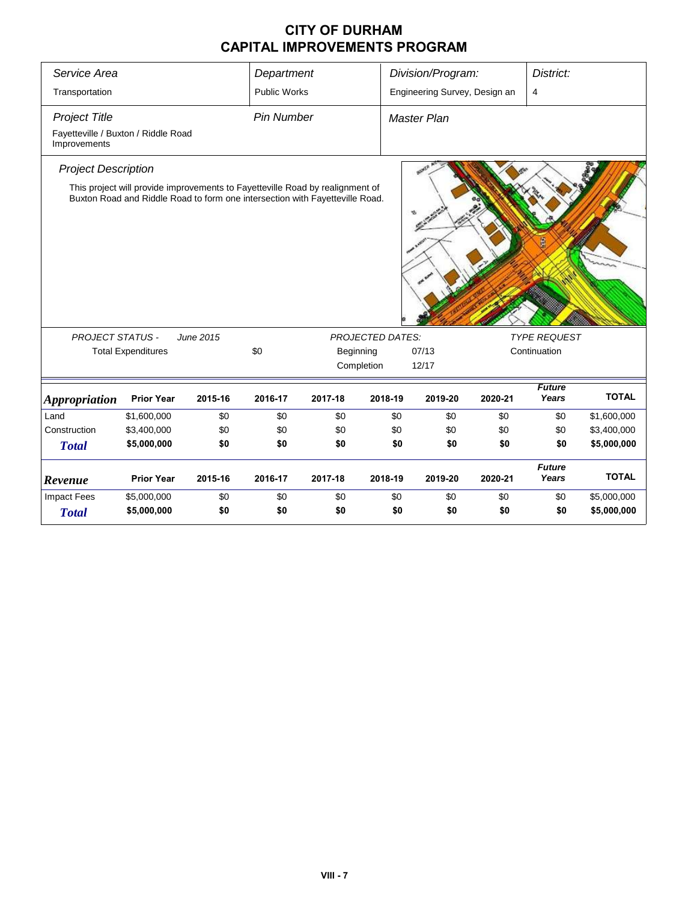| Service Area                                                                | Department                |                                                                                                                                                               |                     | Division/Program: |                         | District:                     |              |                        |              |
|-----------------------------------------------------------------------------|---------------------------|---------------------------------------------------------------------------------------------------------------------------------------------------------------|---------------------|-------------------|-------------------------|-------------------------------|--------------|------------------------|--------------|
| Transportation                                                              |                           |                                                                                                                                                               | <b>Public Works</b> |                   |                         | Engineering Survey, Design an |              | 4                      |              |
| <b>Project Title</b><br>Fayetteville / Buxton / Riddle Road<br>Improvements |                           |                                                                                                                                                               | <b>Pin Number</b>   |                   |                         | <b>Master Plan</b>            |              |                        |              |
| <b>Project Description</b>                                                  |                           |                                                                                                                                                               |                     |                   |                         |                               |              |                        |              |
|                                                                             |                           | This project will provide improvements to Fayetteville Road by realignment of<br>Buxton Road and Riddle Road to form one intersection with Fayetteville Road. |                     |                   |                         |                               |              |                        |              |
| <b>PROJECT STATUS -</b>                                                     |                           | June 2015                                                                                                                                                     |                     |                   | <b>PROJECTED DATES:</b> |                               |              | <b>TYPE REQUEST</b>    |              |
|                                                                             | <b>Total Expenditures</b> |                                                                                                                                                               | \$0                 |                   | Beginning               |                               | Continuation |                        |              |
|                                                                             |                           |                                                                                                                                                               |                     |                   | Completion              | 12/17                         |              |                        |              |
| <b>Appropriation</b>                                                        | <b>Prior Year</b>         | 2015-16                                                                                                                                                       | 2016-17             | 2017-18           | 2018-19                 | 2019-20                       | 2020-21      | <b>Future</b><br>Years | <b>TOTAL</b> |
| Land                                                                        | \$1,600,000               | \$0                                                                                                                                                           | \$0                 | \$0               | \$0                     | \$0                           | \$0          | \$0                    | \$1,600,000  |
| Construction                                                                | \$3,400,000               | \$0                                                                                                                                                           | \$0                 | \$0               | \$0                     | \$0                           | \$0          | \$0                    | \$3,400,000  |
| <b>Total</b>                                                                | \$5,000,000               | \$0                                                                                                                                                           | \$0                 | \$0               | \$0                     | \$0                           | \$0          | \$0                    | \$5,000,000  |
| Revenue                                                                     | <b>Prior Year</b>         | 2015-16                                                                                                                                                       | 2016-17             | 2017-18           | 2018-19                 | 2019-20                       | 2020-21      | <b>Future</b><br>Years | <b>TOTAL</b> |
| <b>Impact Fees</b>                                                          | \$5,000,000               | \$0                                                                                                                                                           | \$0                 | \$0               | \$0                     | \$0                           | \$0          | \$0                    | \$5,000,000  |
| <b>Total</b>                                                                | \$5,000,000               | \$0                                                                                                                                                           | \$0                 | \$0               | \$0                     | \$0                           | \$0          | \$0                    | \$5,000,000  |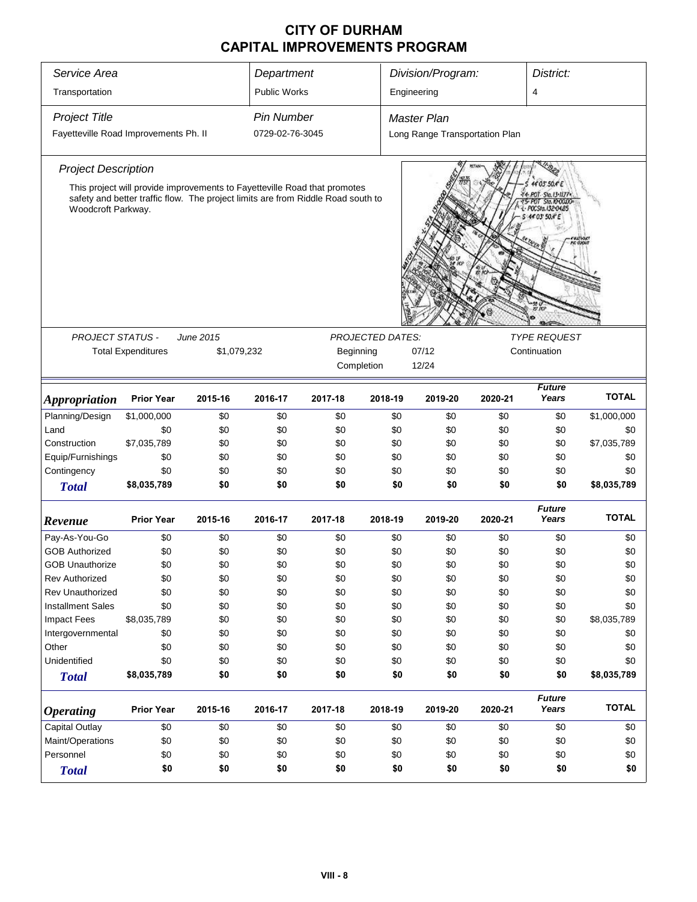| Service Area                                                              |                                                                                                                                                                                                    |                          | Department          |                                                                   |            | Division/Program:                            |         | District:              |              |  |  |  |
|---------------------------------------------------------------------------|----------------------------------------------------------------------------------------------------------------------------------------------------------------------------------------------------|--------------------------|---------------------|-------------------------------------------------------------------|------------|----------------------------------------------|---------|------------------------|--------------|--|--|--|
| Transportation                                                            |                                                                                                                                                                                                    |                          | <b>Public Works</b> |                                                                   |            | Engineering                                  |         | 4                      |              |  |  |  |
| <b>Project Title</b>                                                      |                                                                                                                                                                                                    |                          | <b>Pin Number</b>   |                                                                   |            | Master Plan                                  |         |                        |              |  |  |  |
| Fayetteville Road Improvements Ph. II                                     |                                                                                                                                                                                                    |                          | 0729-02-76-3045     |                                                                   |            | Long Range Transportation Plan               |         |                        |              |  |  |  |
|                                                                           |                                                                                                                                                                                                    |                          |                     |                                                                   |            |                                              |         |                        |              |  |  |  |
| <b>Project Description</b>                                                |                                                                                                                                                                                                    |                          |                     |                                                                   |            |                                              |         |                        |              |  |  |  |
| This project will provide improvements to Fayetteville Road that promotes | safety and better traffic flow. The project limits are from Riddle Road south to<br>Woodcroft Parkway.<br>POCSta.132 O4.85<br>44 03' 50.4' E<br><b>PROJECT STATUS -</b><br><b>PROJECTED DATES:</b> |                          |                     |                                                                   |            |                                              |         |                        |              |  |  |  |
|                                                                           |                                                                                                                                                                                                    |                          |                     |                                                                   |            |                                              |         |                        |              |  |  |  |
|                                                                           | <b>Total Expenditures</b>                                                                                                                                                                          | June 2015<br>\$1,079,232 |                     | Beginning                                                         |            | <b>TYPE REQUEST</b><br>Continuation<br>07/12 |         |                        |              |  |  |  |
|                                                                           |                                                                                                                                                                                                    |                          |                     |                                                                   | Completion | 12/24                                        |         |                        |              |  |  |  |
|                                                                           |                                                                                                                                                                                                    |                          |                     |                                                                   |            |                                              |         |                        |              |  |  |  |
| <b>Appropriation</b>                                                      | <b>Prior Year</b>                                                                                                                                                                                  | 2015-16                  | 2016-17             | 2017-18                                                           | 2018-19    | 2019-20                                      | 2020-21 | <b>Future</b><br>Years | <b>TOTAL</b> |  |  |  |
| Planning/Design                                                           | \$1,000,000                                                                                                                                                                                        | \$0                      | \$0                 | \$0                                                               | \$0        | \$0                                          | \$0     | \$0                    | \$1,000,000  |  |  |  |
| Land                                                                      | \$0                                                                                                                                                                                                | \$0                      | \$0                 | \$0                                                               | \$0        | \$0                                          | \$0     | \$0                    | \$0          |  |  |  |
| Construction                                                              | \$7,035,789                                                                                                                                                                                        | \$0                      | \$0                 | \$0                                                               | \$0        | \$0                                          | \$0     | \$0                    | \$7,035,789  |  |  |  |
| Equip/Furnishings                                                         | \$0                                                                                                                                                                                                | \$0                      | \$0                 | \$0                                                               | \$0        | \$0                                          | \$0     | \$0                    | \$0          |  |  |  |
| Contingency                                                               | \$0                                                                                                                                                                                                | \$0                      | \$0                 | \$0                                                               | \$0        | \$0                                          | \$0     | \$0                    | \$0          |  |  |  |
| <b>Total</b>                                                              | \$8,035,789                                                                                                                                                                                        | \$0                      | \$0                 | \$0                                                               | \$0        | \$0                                          | \$0     | \$0                    | \$8,035,789  |  |  |  |
| Revenue                                                                   | <b>Prior Year</b>                                                                                                                                                                                  | 2015-16                  | 2016-17             | 2017-18                                                           | 2018-19    | 2019-20                                      | 2020-21 | <b>Future</b><br>Years | <b>TOTAL</b> |  |  |  |
| Pay-As-You-Go                                                             | \$0                                                                                                                                                                                                | \$0                      | \$0                 | \$0                                                               | \$0        | \$0                                          | \$0     | \$0                    | \$0          |  |  |  |
| <b>GOB Authorized</b>                                                     | \$0                                                                                                                                                                                                | \$0                      | \$0                 | \$0                                                               | \$0        | \$0                                          | \$0     | \$0                    | \$0          |  |  |  |
| <b>GOB Unauthorize</b>                                                    | \$0                                                                                                                                                                                                | \$0                      | \$0                 | \$0                                                               | \$0        | \$0                                          | \$0     | \$0                    | \$0          |  |  |  |
| Rev Authorized                                                            | \$0                                                                                                                                                                                                | \$0                      | \$0                 | \$0                                                               | \$0        | \$0                                          | \$0     | \$0                    | \$0          |  |  |  |
| <b>Rev Unauthorized</b>                                                   | \$0                                                                                                                                                                                                | \$0                      | \$0                 | \$0                                                               | \$0        | \$0                                          | \$0     | \$0                    | \$0          |  |  |  |
| <b>Installment Sales</b>                                                  | \$0                                                                                                                                                                                                | \$0                      | \$0                 | \$0                                                               | \$0        | \$0                                          | \$0     | \$0                    | \$0          |  |  |  |
| <b>Impact Fees</b>                                                        | \$8,035,789                                                                                                                                                                                        | \$0                      | \$0                 | \$0                                                               | \$0        | \$0                                          | \$0     | \$0                    | \$8,035,789  |  |  |  |
| Intergovernmental                                                         | \$0                                                                                                                                                                                                | \$0                      | \$0                 | \$0                                                               | \$0        | \$0                                          | \$0     | \$0                    | \$0          |  |  |  |
| Other                                                                     | \$0                                                                                                                                                                                                | \$0                      | \$0                 | \$0                                                               | \$0        | \$0                                          | \$0     | \$0                    | \$0          |  |  |  |
| Unidentified                                                              | \$0                                                                                                                                                                                                | \$0                      | \$0                 | \$0                                                               | \$0        | \$0                                          | \$0     | \$0                    | \$0          |  |  |  |
| <b>Total</b>                                                              | \$8,035,789                                                                                                                                                                                        | \$0                      | \$0                 | \$0                                                               | \$0        | \$0                                          | \$0     | \$0                    | \$8,035,789  |  |  |  |
|                                                                           |                                                                                                                                                                                                    |                          |                     |                                                                   |            |                                              |         | <b>Future</b>          |              |  |  |  |
| <b>Operating</b>                                                          | <b>Prior Year</b>                                                                                                                                                                                  | 2015-16                  | 2016-17             | <b>TOTAL</b><br>Years<br>2017-18<br>2018-19<br>2019-20<br>2020-21 |            |                                              |         |                        |              |  |  |  |
| <b>Capital Outlay</b>                                                     | \$0                                                                                                                                                                                                | \$0                      | \$0                 | \$0                                                               | \$0        | \$0                                          | \$0     | \$0                    | \$0          |  |  |  |
| Maint/Operations                                                          | \$0                                                                                                                                                                                                | \$0                      | \$0                 | \$0                                                               | \$0        | \$0                                          | \$0     | \$0                    | \$0          |  |  |  |
| Personnel                                                                 | \$0                                                                                                                                                                                                | \$0                      | \$0                 | \$0                                                               | \$0        | \$0                                          | \$0     | \$0                    | \$0          |  |  |  |
| <b>Total</b>                                                              | \$0<br>\$0<br>\$0<br>\$0<br>\$0<br>\$0<br>\$0<br>\$0<br>\$0                                                                                                                                        |                          |                     |                                                                   |            |                                              |         |                        |              |  |  |  |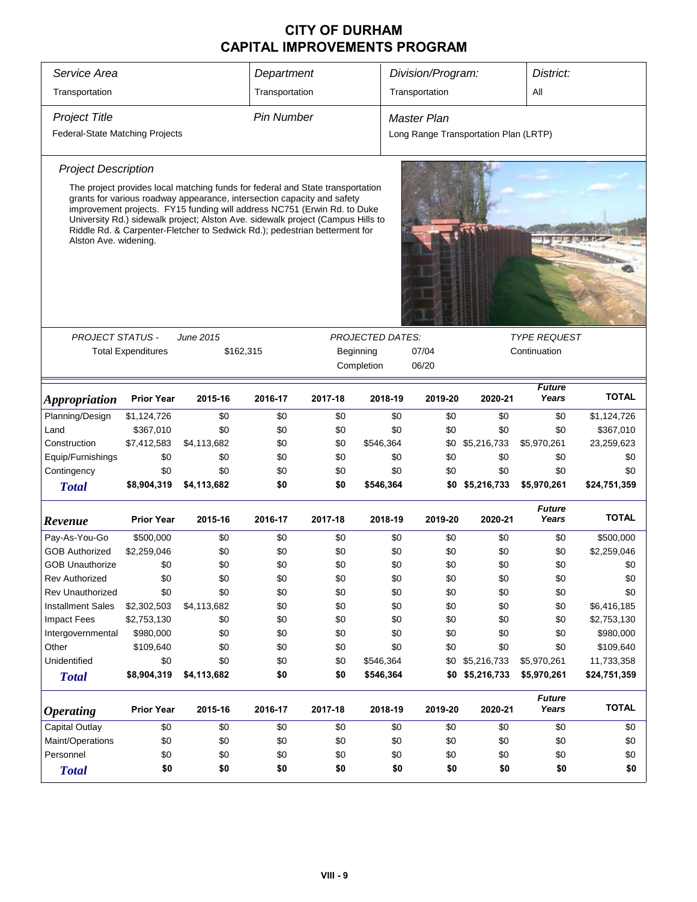| Division/Program:<br>Department        |                           |                                                                                                                                                                                                                                                                                                                                                                                                        |                   |            |                         | District:                             |                    |                        |                     |  |
|----------------------------------------|---------------------------|--------------------------------------------------------------------------------------------------------------------------------------------------------------------------------------------------------------------------------------------------------------------------------------------------------------------------------------------------------------------------------------------------------|-------------------|------------|-------------------------|---------------------------------------|--------------------|------------------------|---------------------|--|
| Service Area                           |                           |                                                                                                                                                                                                                                                                                                                                                                                                        |                   |            |                         |                                       |                    |                        |                     |  |
| Transportation                         |                           |                                                                                                                                                                                                                                                                                                                                                                                                        | Transportation    |            |                         | Transportation                        |                    | All                    |                     |  |
| <b>Project Title</b>                   |                           |                                                                                                                                                                                                                                                                                                                                                                                                        | <b>Pin Number</b> |            |                         | <b>Master Plan</b>                    |                    |                        |                     |  |
| <b>Federal-State Matching Projects</b> |                           |                                                                                                                                                                                                                                                                                                                                                                                                        |                   |            |                         | Long Range Transportation Plan (LRTP) |                    |                        |                     |  |
| <b>Project Description</b>             |                           |                                                                                                                                                                                                                                                                                                                                                                                                        |                   |            |                         |                                       |                    |                        |                     |  |
| Alston Ave. widening.                  |                           | The project provides local matching funds for federal and State transportation<br>grants for various roadway appearance, intersection capacity and safety<br>improvement projects. FY15 funding will address NC751 (Erwin Rd. to Duke<br>University Rd.) sidewalk project; Alston Ave. sidewalk project (Campus Hills to<br>Riddle Rd. & Carpenter-Fletcher to Sedwick Rd.); pedestrian betterment for |                   |            |                         |                                       |                    |                        |                     |  |
|                                        |                           | <b>June 2015</b>                                                                                                                                                                                                                                                                                                                                                                                       |                   |            | <b>PROJECTED DATES:</b> |                                       |                    | <b>TYPE REQUEST</b>    |                     |  |
| <b>PROJECT STATUS -</b>                | <b>Total Expenditures</b> | \$162,315                                                                                                                                                                                                                                                                                                                                                                                              |                   |            | Beginning               | 07/04                                 |                    |                        |                     |  |
|                                        |                           |                                                                                                                                                                                                                                                                                                                                                                                                        |                   |            | Completion              | 06/20                                 | Continuation       |                        |                     |  |
|                                        | <b>Prior Year</b>         | 2015-16                                                                                                                                                                                                                                                                                                                                                                                                | 2016-17           | 2017-18    | 2018-19                 | 2019-20                               | 2020-21            | <b>Future</b><br>Years | <b>TOTAL</b>        |  |
| <i><b>Appropriation</b></i>            |                           |                                                                                                                                                                                                                                                                                                                                                                                                        |                   |            |                         |                                       |                    |                        |                     |  |
| Planning/Design                        | \$1,124,726               | \$0                                                                                                                                                                                                                                                                                                                                                                                                    | \$0               | \$0        | \$0                     | \$0                                   | \$0                | \$0                    | \$1,124,726         |  |
| Land                                   | \$367,010                 | \$0                                                                                                                                                                                                                                                                                                                                                                                                    | \$0               | \$0        | \$0                     | \$0                                   | \$0                | \$0                    | \$367,010           |  |
| Construction                           | \$7,412,583               | \$4,113,682                                                                                                                                                                                                                                                                                                                                                                                            | \$0               | \$0        | \$546,364               | \$0                                   | \$5,216,733        | \$5,970,261            | 23,259,623          |  |
| Equip/Furnishings                      | \$0                       | \$0                                                                                                                                                                                                                                                                                                                                                                                                    | \$0               | \$0        | \$0                     | \$0                                   | \$0                | \$0                    | \$0                 |  |
| Contingency<br><b>Total</b>            | \$0<br>\$8,904,319        | \$0<br>\$4,113,682                                                                                                                                                                                                                                                                                                                                                                                     | \$0<br>\$0        | \$0<br>\$0 | \$0<br>\$546,364        | \$0<br>\$0                            | \$0<br>\$5,216,733 | \$0<br>\$5,970,261     | \$0<br>\$24,751,359 |  |
|                                        |                           |                                                                                                                                                                                                                                                                                                                                                                                                        |                   |            |                         |                                       |                    | <b>Future</b>          |                     |  |
| Revenue                                | <b>Prior Year</b>         | 2015-16                                                                                                                                                                                                                                                                                                                                                                                                | 2016-17           | 2017-18    | 2018-19                 | 2019-20                               | 2020-21            | Years                  | <b>TOTAL</b>        |  |
| Pay-As-You-Go                          | \$500,000                 | \$0                                                                                                                                                                                                                                                                                                                                                                                                    | \$0               | \$0        | \$0                     | \$0                                   | \$0                | \$0                    | \$500,000           |  |
| <b>GOB Authorized</b>                  | \$2,259,046               | \$0                                                                                                                                                                                                                                                                                                                                                                                                    | \$0               | \$0        | \$0                     | \$0                                   | \$0                | \$0                    | \$2,259,046         |  |
| <b>GOB Unauthorize</b>                 | \$0                       | \$0                                                                                                                                                                                                                                                                                                                                                                                                    | \$0               | \$0        | \$0                     | \$0                                   | \$0                | \$0                    | \$0                 |  |
| Rev Authorized                         | \$0                       | \$0                                                                                                                                                                                                                                                                                                                                                                                                    | \$0               | \$0        | \$0                     | \$0                                   | \$0                | \$0                    | \$0                 |  |
| <b>Rev Unauthorized</b>                | \$0                       | \$0                                                                                                                                                                                                                                                                                                                                                                                                    | \$0               | \$0        | \$0                     | \$0                                   | \$0                | \$0                    | \$0                 |  |
| <b>Installment Sales</b>               | \$2,302,503               | \$4,113,682                                                                                                                                                                                                                                                                                                                                                                                            | \$0               | \$0        | \$0                     | \$0                                   | \$0                | \$0                    | \$6,416,185         |  |
| <b>Impact Fees</b>                     | \$2,753,130               | \$0                                                                                                                                                                                                                                                                                                                                                                                                    | \$0               | \$0        | \$0                     | \$0                                   | \$0                | \$0                    | \$2,753,130         |  |
| Intergovernmental                      | \$980,000                 | \$0                                                                                                                                                                                                                                                                                                                                                                                                    | \$0               | \$0        | \$0                     | \$0                                   | \$0                | \$0                    | \$980,000           |  |
| Other                                  | \$109,640                 | \$0                                                                                                                                                                                                                                                                                                                                                                                                    | \$0               | \$0        | \$0                     | \$0                                   | \$0                | \$0                    | \$109,640           |  |
| Unidentified                           | \$0                       | \$0                                                                                                                                                                                                                                                                                                                                                                                                    | \$0               | \$0        | \$546,364               | \$0                                   | \$5,216,733        | \$5,970,261            | 11,733,358          |  |
| <b>Total</b>                           | \$8,904,319               | \$4,113,682                                                                                                                                                                                                                                                                                                                                                                                            | \$0               | \$0        | \$546,364               | \$0                                   | \$5,216,733        | \$5,970,261            | \$24,751,359        |  |
| <b>Operating</b>                       | <b>Prior Year</b>         | 2015-16                                                                                                                                                                                                                                                                                                                                                                                                | 2016-17           | 2017-18    | 2018-19                 | 2019-20                               | 2020-21            | <b>Future</b><br>Years | <b>TOTAL</b>        |  |
| Capital Outlay                         | \$0                       | \$0                                                                                                                                                                                                                                                                                                                                                                                                    | \$0               | \$0        | \$0                     | \$0                                   | \$0                | \$0                    | \$0                 |  |
| Maint/Operations                       | \$0                       | \$0                                                                                                                                                                                                                                                                                                                                                                                                    | \$0               | \$0        | \$0                     | \$0                                   | \$0                | \$0                    | \$0                 |  |
| Personnel                              | \$0                       | \$0                                                                                                                                                                                                                                                                                                                                                                                                    | \$0               | \$0        | \$0                     | \$0                                   | \$0                | \$0                    | \$0                 |  |
| <b>Total</b>                           | \$0                       | \$0                                                                                                                                                                                                                                                                                                                                                                                                    | \$0               | \$0        | \$0                     | \$0                                   | \$0                | \$0                    | \$0                 |  |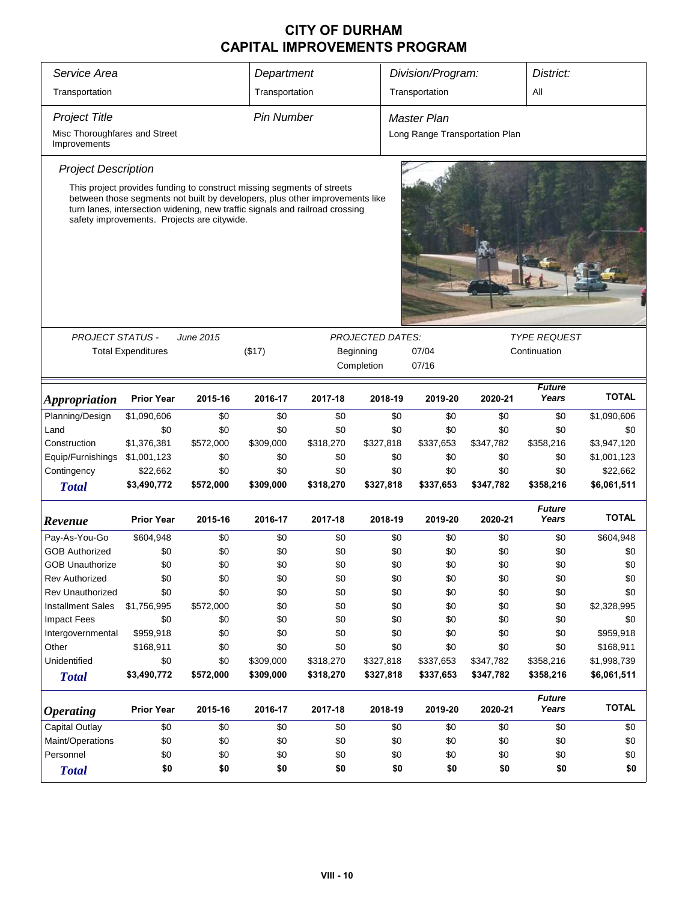| Service Area                                                                     |                                                                                                                                                                                                                                                                                       |                  | Department        |           |                         | Division/Program:              |              |                        | District:    |  |
|----------------------------------------------------------------------------------|---------------------------------------------------------------------------------------------------------------------------------------------------------------------------------------------------------------------------------------------------------------------------------------|------------------|-------------------|-----------|-------------------------|--------------------------------|--------------|------------------------|--------------|--|
| Transportation                                                                   |                                                                                                                                                                                                                                                                                       |                  | Transportation    |           |                         | Transportation                 |              | All                    |              |  |
| <b>Project Title</b>                                                             |                                                                                                                                                                                                                                                                                       |                  | <b>Pin Number</b> |           |                         | Master Plan                    |              |                        |              |  |
| Misc Thoroughfares and Street<br>Improvements                                    |                                                                                                                                                                                                                                                                                       |                  |                   |           |                         | Long Range Transportation Plan |              |                        |              |  |
| <b>Project Description</b>                                                       |                                                                                                                                                                                                                                                                                       |                  |                   |           |                         |                                |              |                        |              |  |
|                                                                                  | This project provides funding to construct missing segments of streets<br>between those segments not built by developers, plus other improvements like<br>turn lanes, intersection widening, new traffic signals and railroad crossing<br>safety improvements. Projects are citywide. |                  |                   |           |                         |                                |              |                        |              |  |
|                                                                                  |                                                                                                                                                                                                                                                                                       |                  |                   |           |                         |                                |              |                        |              |  |
| PROJECT STATUS -                                                                 |                                                                                                                                                                                                                                                                                       | <b>June 2015</b> |                   |           | <b>PROJECTED DATES:</b> |                                |              | <b>TYPE REQUEST</b>    |              |  |
| <b>Total Expenditures</b><br>(\$17)<br>07/04<br>Beginning<br>Completion<br>07/16 |                                                                                                                                                                                                                                                                                       |                  |                   |           |                         |                                | Continuation |                        |              |  |
| <i><b>Appropriation</b></i>                                                      | <b>Prior Year</b>                                                                                                                                                                                                                                                                     | 2015-16          | 2016-17           | 2017-18   | 2018-19                 | 2019-20                        | 2020-21      | <b>Future</b><br>Years | <b>TOTAL</b> |  |
| Planning/Design                                                                  | \$1,090,606                                                                                                                                                                                                                                                                           | \$0              | \$0               | \$0       | \$0                     | \$0                            | \$0          | \$0                    | \$1,090,606  |  |
| Land                                                                             | \$0                                                                                                                                                                                                                                                                                   | \$0              | \$0               | \$0       | \$0                     | \$0                            | \$0          | \$0                    | \$0          |  |
| Construction                                                                     | \$1,376,381                                                                                                                                                                                                                                                                           | \$572,000        | \$309,000         | \$318,270 | \$327,818               | \$337,653                      | \$347,782    | \$358,216              | \$3,947,120  |  |
| Equip/Furnishings                                                                | \$1,001,123                                                                                                                                                                                                                                                                           | \$0              | \$0               | \$0       | \$0                     | \$0                            | \$0          | \$0                    | \$1,001,123  |  |
| Contingency                                                                      | \$22,662                                                                                                                                                                                                                                                                              | \$0              | \$0               | \$0       | \$0                     | \$0                            | \$0          | \$0                    | \$22,662     |  |
| <b>Total</b>                                                                     | \$3,490,772                                                                                                                                                                                                                                                                           | \$572,000        | \$309,000         | \$318,270 | \$327,818               | \$337,653                      | \$347,782    | \$358,216              | \$6,061,511  |  |
| Revenue                                                                          | <b>Prior Year</b>                                                                                                                                                                                                                                                                     | 2015-16          | 2016-17           | 2017-18   | 2018-19                 | 2019-20                        | 2020-21      | <b>Future</b><br>Years | <b>TOTAL</b> |  |
| Pay-As-You-Go                                                                    | \$604,948                                                                                                                                                                                                                                                                             | \$0              | \$0               | \$0       | \$0                     | \$0                            | \$0          | \$0                    | \$604,948    |  |
| <b>GOB Authorized</b>                                                            | \$0                                                                                                                                                                                                                                                                                   | \$0              | \$0               | \$0       | \$0                     | \$0                            | \$0          | \$0                    | \$0          |  |
| <b>GOB Unauthorize</b>                                                           | \$0                                                                                                                                                                                                                                                                                   | \$0              | \$0               | \$0       | \$0                     | \$0                            | \$0          | \$0                    | \$0          |  |
| <b>Rev Authorized</b>                                                            | \$0                                                                                                                                                                                                                                                                                   | \$0              | \$0               | \$0       | \$0                     | \$0                            | \$0          | \$0                    | \$0          |  |
| Rev Unauthorized                                                                 | \$0                                                                                                                                                                                                                                                                                   | \$0              | \$0               | \$0       | \$0                     | \$0                            | \$0          | \$0                    | \$0          |  |
| <b>Installment Sales</b>                                                         | \$1,756,995                                                                                                                                                                                                                                                                           | \$572,000        | \$0               | \$0       | \$0                     | \$0                            | \$0          | \$0                    | \$2,328,995  |  |
| <b>Impact Fees</b>                                                               | \$0                                                                                                                                                                                                                                                                                   | \$0              | \$0               | \$0       | \$0                     | \$0                            | \$0          | \$0                    | \$0          |  |
| Intergovernmental                                                                | \$959,918                                                                                                                                                                                                                                                                             | \$0              | \$0               | \$0       | \$0                     | \$0                            | \$0          | \$0                    | \$959,918    |  |
| Other                                                                            | \$168,911                                                                                                                                                                                                                                                                             | \$0              | \$0               | \$0       | \$0                     | \$0                            | \$0          | \$0                    | \$168,911    |  |
| Unidentified                                                                     | \$0                                                                                                                                                                                                                                                                                   | \$0              | \$309,000         | \$318,270 | \$327,818               | \$337,653                      | \$347,782    | \$358,216              | \$1,998,739  |  |
| <b>Total</b>                                                                     | \$3,490,772                                                                                                                                                                                                                                                                           | \$572,000        | \$309,000         | \$318,270 | \$327,818               | \$337,653                      | \$347,782    | \$358,216              | \$6,061,511  |  |
| <b>Operating</b>                                                                 | <b>Prior Year</b>                                                                                                                                                                                                                                                                     | 2015-16          | 2016-17           | 2017-18   | 2018-19                 | 2019-20                        | 2020-21      | <b>Future</b><br>Years | <b>TOTAL</b> |  |
| Capital Outlay                                                                   | \$0                                                                                                                                                                                                                                                                                   | \$0              | \$0               | \$0       | \$0                     | \$0                            | \$0          | \$0                    | \$0          |  |
| Maint/Operations                                                                 | \$0                                                                                                                                                                                                                                                                                   | \$0              | \$0               | \$0       | \$0                     | \$0                            | \$0          | \$0                    | \$0          |  |
| Personnel                                                                        | \$0                                                                                                                                                                                                                                                                                   | \$0              | \$0               | \$0       | \$0                     | \$0                            | \$0          | \$0                    | \$0          |  |
| \$0<br>\$0<br>\$0<br>\$0<br>\$0<br>\$0<br>\$0<br>\$0<br>\$0<br><b>Total</b>      |                                                                                                                                                                                                                                                                                       |                  |                   |           |                         |                                |              |                        |              |  |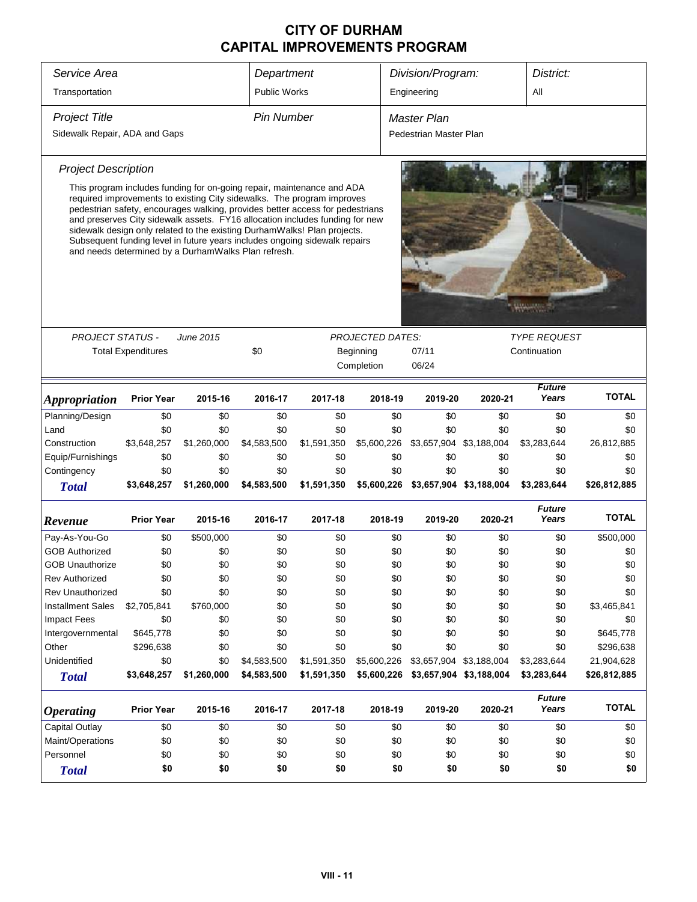| Service Area                                                                                                                                                                                                                                                                                                                                                                                                                                                                                                                       | Division/Program:<br>District:<br>Department |             |                     |             |                         |                        |         |                         |                                     |              |  |
|------------------------------------------------------------------------------------------------------------------------------------------------------------------------------------------------------------------------------------------------------------------------------------------------------------------------------------------------------------------------------------------------------------------------------------------------------------------------------------------------------------------------------------|----------------------------------------------|-------------|---------------------|-------------|-------------------------|------------------------|---------|-------------------------|-------------------------------------|--------------|--|
| Transportation                                                                                                                                                                                                                                                                                                                                                                                                                                                                                                                     |                                              |             | <b>Public Works</b> |             |                         | Engineering            |         |                         | All                                 |              |  |
|                                                                                                                                                                                                                                                                                                                                                                                                                                                                                                                                    |                                              |             |                     |             |                         |                        |         |                         |                                     |              |  |
| <b>Project Title</b>                                                                                                                                                                                                                                                                                                                                                                                                                                                                                                               |                                              |             | <b>Pin Number</b>   |             |                         | Master Plan            |         |                         |                                     |              |  |
| Sidewalk Repair, ADA and Gaps                                                                                                                                                                                                                                                                                                                                                                                                                                                                                                      |                                              |             |                     |             |                         | Pedestrian Master Plan |         |                         |                                     |              |  |
|                                                                                                                                                                                                                                                                                                                                                                                                                                                                                                                                    |                                              |             |                     |             |                         |                        |         |                         |                                     |              |  |
| <b>Project Description</b>                                                                                                                                                                                                                                                                                                                                                                                                                                                                                                         |                                              |             |                     |             |                         |                        |         |                         |                                     |              |  |
| This program includes funding for on-going repair, maintenance and ADA<br>required improvements to existing City sidewalks. The program improves<br>pedestrian safety, encourages walking, provides better access for pedestrians<br>and preserves City sidewalk assets. FY16 allocation includes funding for new<br>sidewalk design only related to the existing DurhamWalks! Plan projects.<br>Subsequent funding level in future years includes ongoing sidewalk repairs<br>and needs determined by a DurhamWalks Plan refresh. |                                              |             |                     |             |                         |                        |         |                         |                                     |              |  |
|                                                                                                                                                                                                                                                                                                                                                                                                                                                                                                                                    |                                              |             |                     |             |                         |                        |         |                         |                                     |              |  |
| <b>PROJECT STATUS -</b>                                                                                                                                                                                                                                                                                                                                                                                                                                                                                                            |                                              | June 2015   | \$0                 |             | <b>PROJECTED DATES:</b> | 07/11                  |         |                         | <b>TYPE REQUEST</b><br>Continuation |              |  |
|                                                                                                                                                                                                                                                                                                                                                                                                                                                                                                                                    | <b>Total Expenditures</b>                    |             |                     |             | Beginning<br>Completion | 06/24                  |         |                         |                                     |              |  |
|                                                                                                                                                                                                                                                                                                                                                                                                                                                                                                                                    |                                              |             |                     |             |                         |                        |         |                         |                                     |              |  |
| <i><b>Appropriation</b></i>                                                                                                                                                                                                                                                                                                                                                                                                                                                                                                        | <b>Prior Year</b>                            | 2015-16     | 2016-17             | 2017-18     | 2018-19                 |                        | 2019-20 | 2020-21                 | <b>Future</b><br>Years              | <b>TOTAL</b> |  |
| Planning/Design                                                                                                                                                                                                                                                                                                                                                                                                                                                                                                                    | \$0                                          | \$0         | \$0                 | \$0         |                         | \$0                    | \$0     | \$0                     | \$0                                 | \$0          |  |
| Land                                                                                                                                                                                                                                                                                                                                                                                                                                                                                                                               | \$0                                          | \$0         | \$0                 | \$0         |                         | \$0                    | \$0     | \$0                     | \$0                                 | \$0          |  |
| Construction                                                                                                                                                                                                                                                                                                                                                                                                                                                                                                                       | \$3,648,257                                  | \$1,260,000 | \$4,583,500         | \$1,591,350 | \$5,600,226             |                        |         | \$3,657,904 \$3,188,004 | \$3,283,644                         | 26,812,885   |  |
| Equip/Furnishings                                                                                                                                                                                                                                                                                                                                                                                                                                                                                                                  | \$0                                          | \$0         | \$0                 | \$0         |                         | \$0                    | \$0     | \$0                     | \$0                                 | \$0          |  |
| Contingency                                                                                                                                                                                                                                                                                                                                                                                                                                                                                                                        | \$0                                          | \$0         | \$0                 | \$0         |                         | \$0                    | \$0     | \$0                     | \$0                                 | \$0          |  |
| <b>Total</b>                                                                                                                                                                                                                                                                                                                                                                                                                                                                                                                       | \$3,648,257                                  | \$1,260,000 | \$4,583,500         | \$1,591,350 | \$5,600,226             |                        |         | \$3,657,904 \$3,188,004 | \$3,283,644                         | \$26,812,885 |  |
| Revenue                                                                                                                                                                                                                                                                                                                                                                                                                                                                                                                            | <b>Prior Year</b>                            | 2015-16     | 2016-17             | 2017-18     | 2018-19                 |                        | 2019-20 | 2020-21                 | <b>Future</b><br>Years              | <b>TOTAL</b> |  |
| Pay-As-You-Go                                                                                                                                                                                                                                                                                                                                                                                                                                                                                                                      | \$0                                          | \$500,000   | \$0                 | \$0         |                         | \$0                    | \$0     | \$0                     | \$0                                 | \$500,000    |  |
| <b>GOB Authorized</b>                                                                                                                                                                                                                                                                                                                                                                                                                                                                                                              | \$0                                          | \$0         | \$0                 | \$0         |                         | \$0                    | \$0     | \$0                     | \$0                                 | \$0          |  |
| <b>GOB Unauthorize</b>                                                                                                                                                                                                                                                                                                                                                                                                                                                                                                             | \$0                                          | \$0         | \$0                 | \$0         |                         | \$0                    | \$0     | \$0                     | \$0                                 | \$0          |  |
| Rev Authorized                                                                                                                                                                                                                                                                                                                                                                                                                                                                                                                     | \$0                                          | \$0         | \$0                 | \$0         |                         | \$0                    | \$0     | \$0                     | \$0                                 | \$0          |  |
| <b>Rev Unauthorized</b>                                                                                                                                                                                                                                                                                                                                                                                                                                                                                                            | \$0                                          | \$0         | \$0                 | \$0         |                         | \$0                    | \$0     | \$0                     | \$0                                 | \$0          |  |
| <b>Installment Sales</b>                                                                                                                                                                                                                                                                                                                                                                                                                                                                                                           | \$2,705,841                                  | \$760,000   | \$0                 | \$0         |                         | \$0                    | \$0     | \$0                     | \$0                                 | \$3,465,841  |  |
| <b>Impact Fees</b>                                                                                                                                                                                                                                                                                                                                                                                                                                                                                                                 | \$0                                          | \$0         | \$0                 | \$0         |                         | \$0                    | \$0     | \$0                     | \$0                                 | \$0          |  |
| Intergovernmental                                                                                                                                                                                                                                                                                                                                                                                                                                                                                                                  | \$645,778                                    | \$0         | \$0                 | \$0         |                         | \$0                    | \$0     | \$0                     | \$0                                 | \$645,778    |  |
| Other                                                                                                                                                                                                                                                                                                                                                                                                                                                                                                                              | \$296,638                                    | \$0         | \$0                 | \$0         |                         | \$0                    | \$0     | \$0                     | \$0                                 | \$296,638    |  |
| Unidentified                                                                                                                                                                                                                                                                                                                                                                                                                                                                                                                       | \$0                                          | \$0         | \$4,583,500         | \$1,591,350 | \$5,600,226             |                        |         | \$3,657,904 \$3,188,004 | \$3,283,644                         | 21,904,628   |  |
| <b>Total</b>                                                                                                                                                                                                                                                                                                                                                                                                                                                                                                                       | \$3,648,257                                  | \$1,260,000 | \$4,583,500         | \$1,591,350 | \$5,600,226             |                        |         | \$3,657,904 \$3,188,004 | \$3,283,644                         | \$26,812,885 |  |
| <i><b>Operating</b></i>                                                                                                                                                                                                                                                                                                                                                                                                                                                                                                            | <b>Prior Year</b>                            | 2015-16     | 2016-17             | 2017-18     | 2018-19                 |                        | 2019-20 | 2020-21                 | <b>Future</b><br>Years              | <b>TOTAL</b> |  |
| Capital Outlay                                                                                                                                                                                                                                                                                                                                                                                                                                                                                                                     | \$0                                          | \$0         | \$0                 | \$0         |                         | \$0                    | \$0     | \$0                     | \$0                                 | \$0          |  |
| Maint/Operations                                                                                                                                                                                                                                                                                                                                                                                                                                                                                                                   | \$0                                          | \$0         | \$0                 | \$0         |                         | \$0                    | \$0     | \$0                     | \$0                                 | \$0          |  |
| Personnel                                                                                                                                                                                                                                                                                                                                                                                                                                                                                                                          | \$0                                          | \$0         | \$0                 | \$0         |                         | \$0                    | \$0     | \$0                     | \$0                                 | \$0          |  |
| <b>Total</b>                                                                                                                                                                                                                                                                                                                                                                                                                                                                                                                       | \$0                                          | \$0         | \$0                 | \$0         |                         | \$0                    | \$0     | \$0                     | \$0                                 | \$0          |  |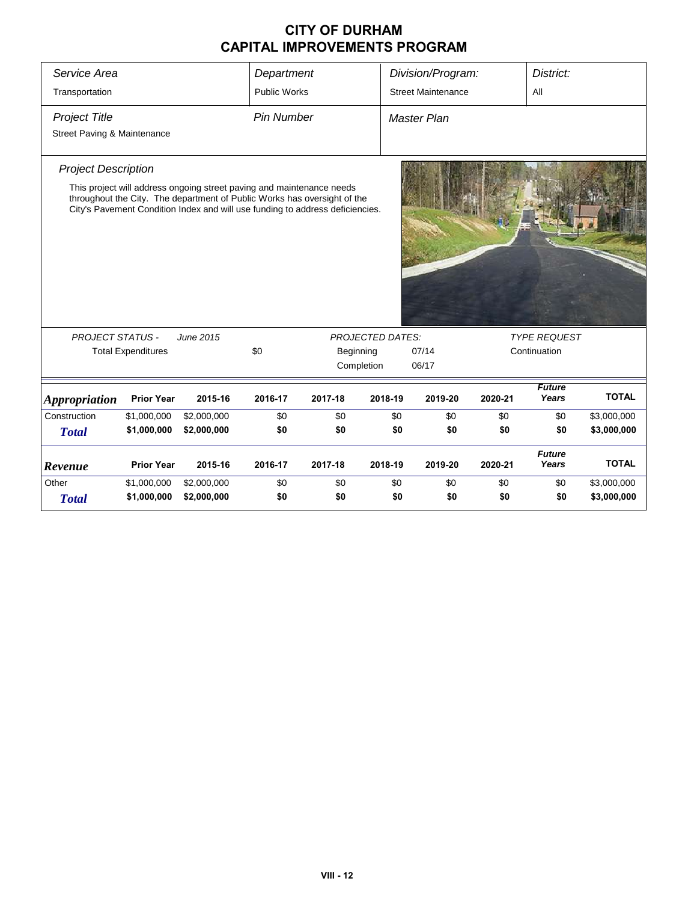| Service Area                                                             |                   |                                                                                                                                                                                                                                    | Department          |                         | Division/Program:         |                     | District:    |                        |              |  |
|--------------------------------------------------------------------------|-------------------|------------------------------------------------------------------------------------------------------------------------------------------------------------------------------------------------------------------------------------|---------------------|-------------------------|---------------------------|---------------------|--------------|------------------------|--------------|--|
| Transportation                                                           |                   |                                                                                                                                                                                                                                    | <b>Public Works</b> |                         | <b>Street Maintenance</b> |                     | All          |                        |              |  |
| <b>Pin Number</b><br><b>Project Title</b><br>Street Paving & Maintenance |                   |                                                                                                                                                                                                                                    |                     |                         |                           | <b>Master Plan</b>  |              |                        |              |  |
| <b>Project Description</b>                                               |                   | This project will address ongoing street paving and maintenance needs<br>throughout the City. The department of Public Works has oversight of the<br>City's Pavement Condition Index and will use funding to address deficiencies. |                     |                         |                           |                     |              |                        |              |  |
| <b>PROJECT STATUS -</b><br>June 2015                                     |                   |                                                                                                                                                                                                                                    |                     |                         | <b>PROJECTED DATES:</b>   | <b>TYPE REQUEST</b> |              |                        |              |  |
| <b>Total Expenditures</b>                                                |                   |                                                                                                                                                                                                                                    | \$0                 | Beginning<br>Completion |                           | 07/14<br>06/17      | Continuation |                        |              |  |
| <b>Appropriation</b>                                                     | <b>Prior Year</b> | 2015-16                                                                                                                                                                                                                            | 2016-17             | 2017-18                 | 2018-19                   | 2019-20             | 2020-21      | <b>Future</b><br>Years | <b>TOTAL</b> |  |
| Construction                                                             | \$1,000,000       | \$2,000,000                                                                                                                                                                                                                        | \$0                 | \$0                     | \$0                       | \$0                 | \$0          | \$0                    | \$3,000,000  |  |
| <b>Total</b>                                                             | \$1,000,000       | \$2,000,000                                                                                                                                                                                                                        | \$0                 | \$0                     | \$0                       | \$0                 | \$0          | \$0                    | \$3,000,000  |  |
| Revenue                                                                  | <b>Prior Year</b> | 2015-16                                                                                                                                                                                                                            | 2016-17             | 2017-18                 | 2018-19                   | 2019-20             | 2020-21      | <b>Future</b><br>Years | <b>TOTAL</b> |  |
|                                                                          |                   |                                                                                                                                                                                                                                    |                     |                         |                           |                     |              |                        |              |  |
| Other                                                                    | \$1,000,000       | \$2,000,000                                                                                                                                                                                                                        | \$0                 | \$0                     | \$0                       | \$0                 | \$0          | \$0                    | \$3,000,000  |  |